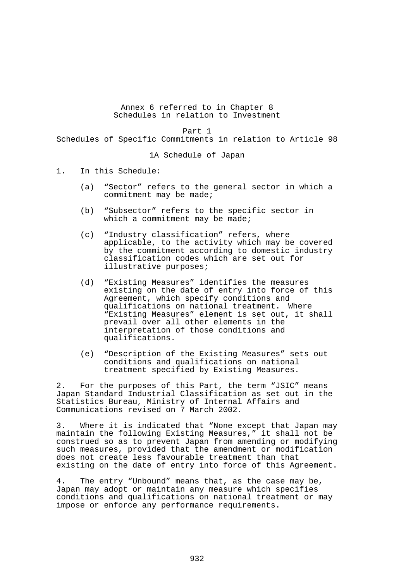Annex 6 referred to in Chapter 8 Schedules in relation to Investment

Part 1

Schedules of Specific Commitments in relation to Article 98

1A Schedule of Japan

- 1. In this Schedule:
	- (a) "Sector" refers to the general sector in which a commitment may be made;
	- (b) "Subsector" refers to the specific sector in which a commitment may be made;
	- (c) "Industry classification" refers, where applicable, to the activity which may be covered by the commitment according to domestic industry classification codes which are set out for illustrative purposes;
	- (d) "Existing Measures" identifies the measures existing on the date of entry into force of this Agreement, which specify conditions and qualifications on national treatment. Where "Existing Measures" element is set out, it shall prevail over all other elements in the interpretation of those conditions and qualifications.
	- (e) "Description of the Existing Measures" sets out conditions and qualifications on national treatment specified by Existing Measures.

2. For the purposes of this Part, the term "JSIC" means Japan Standard Industrial Classification as set out in the Statistics Bureau, Ministry of Internal Affairs and Communications revised on 7 March 2002.

3. Where it is indicated that "None except that Japan may maintain the following Existing Measures," it shall not be construed so as to prevent Japan from amending or modifying such measures, provided that the amendment or modification does not create less favourable treatment than that existing on the date of entry into force of this Agreement.

4. The entry "Unbound" means that, as the case may be, Japan may adopt or maintain any measure which specifies conditions and qualifications on national treatment or may impose or enforce any performance requirements.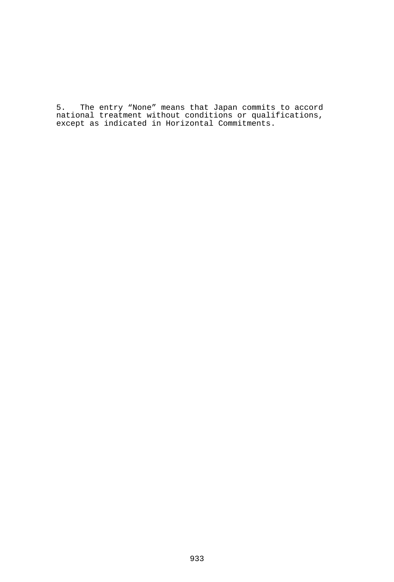5. The entry "None" means that Japan commits to accord national treatment without conditions or qualifications, except as indicated in Horizontal Commitments.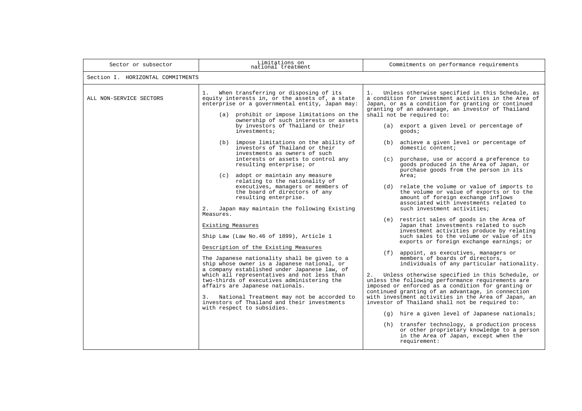| Sector or subsector               | Limitations on<br>national treatment                                                                                                                                                                                                                                                                                                                                                                                                                                                                                                                                                                                                                                                                                                                                                                                                                                                                                                                                                                                                                                                                                                                                                                                                       | Commitments on performance requirements                                                                                                                                                                                                                                                                                                                                                                                                                                                                                                                                                                                                                                                                                                                                                                                                                                                                                                                                                                                                                                                                                                                                                                                                                                                                                                                                                                                                                                            |  |  |
|-----------------------------------|--------------------------------------------------------------------------------------------------------------------------------------------------------------------------------------------------------------------------------------------------------------------------------------------------------------------------------------------------------------------------------------------------------------------------------------------------------------------------------------------------------------------------------------------------------------------------------------------------------------------------------------------------------------------------------------------------------------------------------------------------------------------------------------------------------------------------------------------------------------------------------------------------------------------------------------------------------------------------------------------------------------------------------------------------------------------------------------------------------------------------------------------------------------------------------------------------------------------------------------------|------------------------------------------------------------------------------------------------------------------------------------------------------------------------------------------------------------------------------------------------------------------------------------------------------------------------------------------------------------------------------------------------------------------------------------------------------------------------------------------------------------------------------------------------------------------------------------------------------------------------------------------------------------------------------------------------------------------------------------------------------------------------------------------------------------------------------------------------------------------------------------------------------------------------------------------------------------------------------------------------------------------------------------------------------------------------------------------------------------------------------------------------------------------------------------------------------------------------------------------------------------------------------------------------------------------------------------------------------------------------------------------------------------------------------------------------------------------------------------|--|--|
| Section I. HORIZONTAL COMMITMENTS |                                                                                                                                                                                                                                                                                                                                                                                                                                                                                                                                                                                                                                                                                                                                                                                                                                                                                                                                                                                                                                                                                                                                                                                                                                            |                                                                                                                                                                                                                                                                                                                                                                                                                                                                                                                                                                                                                                                                                                                                                                                                                                                                                                                                                                                                                                                                                                                                                                                                                                                                                                                                                                                                                                                                                    |  |  |
| ALL NON-SERVICE SECTORS           | 1.<br>When transferring or disposing of its<br>equity interests in, or the assets of, a state<br>enterprise or a governmental entity, Japan may:<br>(a) prohibit or impose limitations on the<br>ownership of such interests or assets<br>by investors of Thailand or their<br>investments;<br>(b) impose limitations on the ability of<br>investors of Thailand or their<br>investments as owners of such<br>interests or assets to control any<br>resulting enterprise; or<br>(c) adopt or maintain any measure<br>relating to the nationality of<br>executives, managers or members of<br>the board of directors of any<br>resulting enterprise.<br>2.<br>Japan may maintain the following Existing<br>Measures.<br>Existing Measures<br>Ship Law (Law No.46 of 1899), Article 1<br>Description of the Existing Measures<br>The Japanese nationality shall be given to a<br>ship whose owner is a Japanese national, or<br>a company established under Japanese law, of<br>which all representatives and not less than<br>two-thirds of executives administering the<br>affairs are Japanese nationals.<br>National Treatment may not be accorded to<br>3.<br>investors of Thailand and their investments<br>with respect to subsidies. | Unless otherwise specified in this Schedule, as<br>1.<br>a condition for investment activities in the Area of<br>Japan, or as a condition for granting or continued<br>granting of an advantage, an investor of Thailand<br>shall not be required to:<br>(a) export a given level or percentage of<br>qoods;<br>(b) achieve a given level or percentage of<br>domestic content;<br>(c) purchase, use or accord a preference to<br>goods produced in the Area of Japan, or<br>purchase goods from the person in its<br>Area;<br>(d) relate the volume or value of imports to<br>the volume or value of exports or to the<br>amount of foreign exchange inflows<br>associated with investments related to<br>such investment activities;<br>(e) restrict sales of goods in the Area of<br>Japan that investments related to such<br>investment activities produce by relating<br>such sales to the volume or value of its<br>exports or foreign exchange earnings; or<br>(f) appoint, as executives, managers or<br>members of boards of directors,<br>individuals of any particular nationality.<br>2.<br>Unless otherwise specified in this Schedule, or<br>unless the following performance requirements are<br>imposed or enforced as a condition for granting or<br>continued granting of an advantage, in connection<br>with investment activities in the Area of Japan, an<br>investor of Thailand shall not be required to:<br>(g) hire a given level of Japanese nationals; |  |  |
|                                   |                                                                                                                                                                                                                                                                                                                                                                                                                                                                                                                                                                                                                                                                                                                                                                                                                                                                                                                                                                                                                                                                                                                                                                                                                                            | (h) transfer technology, a production process<br>or other proprietary knowledge to a person<br>in the Area of Japan, except when the<br>requirement:                                                                                                                                                                                                                                                                                                                                                                                                                                                                                                                                                                                                                                                                                                                                                                                                                                                                                                                                                                                                                                                                                                                                                                                                                                                                                                                               |  |  |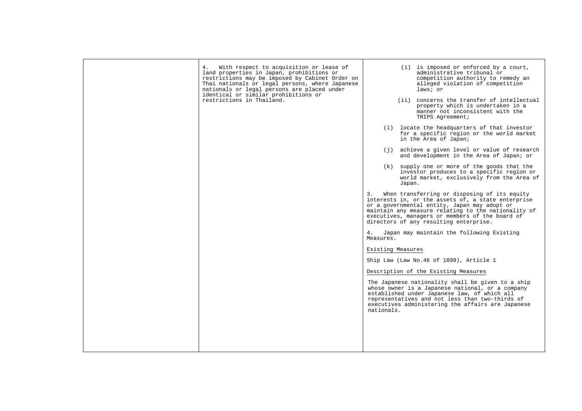| 4. With respect to acquisition or lease of<br>land properties in Japan, prohibitions or<br>restrictions may be imposed by Cabinet Order on<br>Thai nationals or legal persons, where Japanese<br>nationals or legal persons are placed under<br>identical or similar prohibitions or<br>restrictions in Thailand. | $(i)$ is imposed or enforced by a court,<br>administrative tribunal or<br>competition authority to remedy an<br>alleged violation of competition<br>laws; or<br>(ii) concerns the transfer of intellectual<br>property which is undertaken in a<br>manner not inconsistent with the<br>TRIPS Agreement;      |
|-------------------------------------------------------------------------------------------------------------------------------------------------------------------------------------------------------------------------------------------------------------------------------------------------------------------|--------------------------------------------------------------------------------------------------------------------------------------------------------------------------------------------------------------------------------------------------------------------------------------------------------------|
|                                                                                                                                                                                                                                                                                                                   | (i) locate the headquarters of that investor<br>for a specific region or the world market<br>in the Area of Japan;                                                                                                                                                                                           |
|                                                                                                                                                                                                                                                                                                                   | (j) achieve a given level or value of research<br>and development in the Area of Japan; or                                                                                                                                                                                                                   |
|                                                                                                                                                                                                                                                                                                                   | (k) supply one or more of the goods that the<br>investor produces to a specific region or<br>world market, exclusively from the Area of<br>Japan.                                                                                                                                                            |
|                                                                                                                                                                                                                                                                                                                   | When transferring or disposing of its equity<br>3.<br>interests in, or the assets of, a state enterprise<br>or a governmental entity, Japan may adopt or<br>maintain any measure relating to the nationality of<br>executives, managers or members of the board of<br>directors of any resulting enterprise. |
|                                                                                                                                                                                                                                                                                                                   | 4. Japan may maintain the following Existing<br>Measures.                                                                                                                                                                                                                                                    |
|                                                                                                                                                                                                                                                                                                                   | Existing Measures                                                                                                                                                                                                                                                                                            |
|                                                                                                                                                                                                                                                                                                                   | Ship Law (Law No. 46 of 1899), Article 1                                                                                                                                                                                                                                                                     |
|                                                                                                                                                                                                                                                                                                                   | Description of the Existing Measures                                                                                                                                                                                                                                                                         |
|                                                                                                                                                                                                                                                                                                                   | The Japanese nationality shall be given to a ship<br>whose owner is a Japanese national, or a company<br>established under Japanese law, of which all<br>representatives and not less than two-thirds of<br>executives administering the affairs are Japanese<br>nationals.                                  |
|                                                                                                                                                                                                                                                                                                                   |                                                                                                                                                                                                                                                                                                              |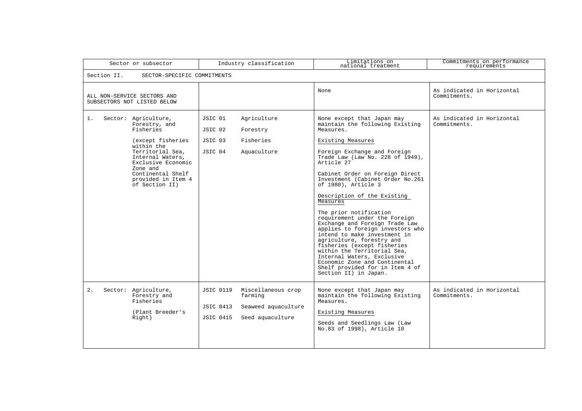| Sector or subsector                                                                                                                                                                                                                 | Industry classification                                                                                                       | Limitations on<br>national treatment                                                                                                                                                                                                                                                                                                                                                                                                                                                                                                                                                                                                                                                                              | Commitments on performance<br>requirements |
|-------------------------------------------------------------------------------------------------------------------------------------------------------------------------------------------------------------------------------------|-------------------------------------------------------------------------------------------------------------------------------|-------------------------------------------------------------------------------------------------------------------------------------------------------------------------------------------------------------------------------------------------------------------------------------------------------------------------------------------------------------------------------------------------------------------------------------------------------------------------------------------------------------------------------------------------------------------------------------------------------------------------------------------------------------------------------------------------------------------|--------------------------------------------|
| Section II.<br>SECTOR-SPECIFIC COMMITMENTS                                                                                                                                                                                          |                                                                                                                               |                                                                                                                                                                                                                                                                                                                                                                                                                                                                                                                                                                                                                                                                                                                   |                                            |
| ALL NON-SERVICE SECTORS AND<br>SUBSECTORS NOT LISTED BELOW                                                                                                                                                                          |                                                                                                                               | None                                                                                                                                                                                                                                                                                                                                                                                                                                                                                                                                                                                                                                                                                                              | As indicated in Horizontal<br>Commitments. |
| 1.<br>Sector: Agriculture,<br>Forestry, and<br>Fisheries<br>(except fisheries)<br>within the<br>Territorial Sea,<br>Internal Waters,<br>Exclusive Economic<br>Zone and<br>Continental Shelf<br>provided in Item 4<br>of Section II) | Agriculture<br>JSIC 01<br>JSIC 02<br>Forestry<br>JSIC 03<br>Fisheries<br>JSIC 04<br>Aquaculture                               | None except that Japan may<br>maintain the following Existing<br>Measures.<br>Existing Measures<br>Foreign Exchange and Foreign<br>Trade Law (Law No. 228 of 1949),<br>Article 27<br>Cabinet Order on Foreign Direct<br>Investment (Cabinet Order No.261<br>of 1980), Article 3<br>Description of the Existing<br>Measures<br>The prior notification<br>requirement under the Foreign<br>Exchange and Foreign Trade Law<br>applies to foreign investors who<br>intend to make investment in<br>agriculture, forestry and<br>fisheries (except fisheries<br>within the Territorial Sea,<br>Internal Waters, Exclusive<br>Economic Zone and Continental<br>Shelf provided for in Item 4 of<br>Section II) in Japan. | As indicated in Horizontal<br>Commitments. |
| Sector: Agriculture,<br>2.<br>Forestry and<br>Fisheries<br>(Plant Breeder's<br>Right)                                                                                                                                               | <b>JSIC 0119</b><br>Miscellaneous crop<br>farming<br><b>JSIC 0413</b><br>Seaweed aquaculture<br>Seed aquaculture<br>JSIC 0415 | None except that Japan may<br>maintain the following Existing<br>Measures.<br>Existing Measures<br>Seeds and Seedlings Law (Law<br>No.83 of 1998), Article 10                                                                                                                                                                                                                                                                                                                                                                                                                                                                                                                                                     | As indicated in Horizontal<br>Commitments. |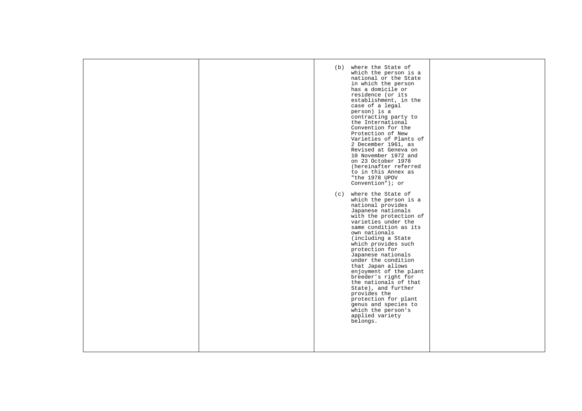| (b) where the State of<br>which the person is a<br>national or the State<br>in which the person<br>has a domicile or<br>residence (or its<br>establishment, in the<br>case of a legal<br>person) is a<br>contracting party to<br>the International<br>Convention for the<br>Protection of New<br>Varieties of Plants of<br>2 December 1961, as<br>Revised at Geneva on<br>10 November 1972 and<br>on 23 October 1978<br>(hereinafter referred<br>to in this Annex as<br>"the 1978 UPOV<br>Convention"); or<br>(c) where the State of<br>which the person is a<br>national provides<br>Japanese nationals<br>with the protection of<br>varieties under the<br>same condition as its<br>own nationals<br>(including a State<br>which provides such<br>protection for<br>Japanese nationals<br>under the condition<br>that Japan allows<br>enjoyment of the plant<br>breeder's right for<br>the nationals of that<br>State), and further<br>provides the<br>protection for plant<br>genus and species to<br>which the person's<br>applied variety<br>belongs. |
|------------------------------------------------------------------------------------------------------------------------------------------------------------------------------------------------------------------------------------------------------------------------------------------------------------------------------------------------------------------------------------------------------------------------------------------------------------------------------------------------------------------------------------------------------------------------------------------------------------------------------------------------------------------------------------------------------------------------------------------------------------------------------------------------------------------------------------------------------------------------------------------------------------------------------------------------------------------------------------------------------------------------------------------------------------|
|                                                                                                                                                                                                                                                                                                                                                                                                                                                                                                                                                                                                                                                                                                                                                                                                                                                                                                                                                                                                                                                            |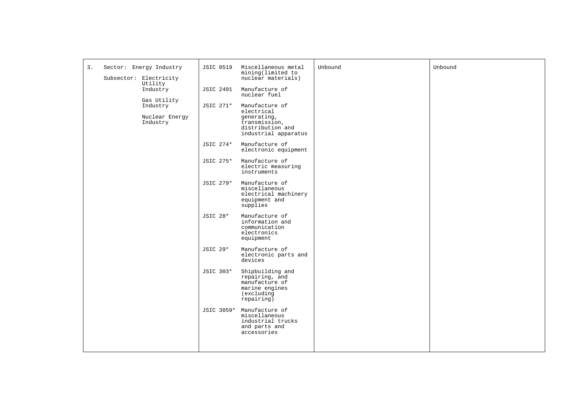| 3. | Sector: Energy Industry           | <b>JSIC 0519</b> | Miscellaneous metal<br>mining(limited to                                                           | Unbound | Unbound |
|----|-----------------------------------|------------------|----------------------------------------------------------------------------------------------------|---------|---------|
|    | Subsector: Electricity<br>Utility |                  | nuclear materials)                                                                                 |         |         |
|    | Industry                          | <b>JSIC 2491</b> | Manufacture of<br>nuclear fuel                                                                     |         |         |
|    | Gas Utility<br>Industry           | JSIC 271*        | Manufacture of<br>electrical                                                                       |         |         |
|    | Nuclear Energy<br>Industry        |                  | generating,<br>transmission,<br>distribution and<br>industrial apparatus                           |         |         |
|    |                                   | JSIC 274*        | Manufacture of<br>electronic equipment                                                             |         |         |
|    |                                   | JSIC 275*        | Manufacture of<br>electric measuring<br>instruments                                                |         |         |
|    |                                   | JSIC 279*        | Manufacture of<br>miscellaneous<br>electrical machinery<br>equipment and<br>supplies               |         |         |
|    |                                   | <b>JSIC 28*</b>  | Manufacture of<br>information and<br>communication<br>electronics<br>equipment                     |         |         |
|    |                                   | <b>JSIC 29*</b>  | Manufacture of<br>electronic parts and<br>devices                                                  |         |         |
|    |                                   | JSIC 303*        | Shipbuilding and<br>repairing, and<br>manufacture of<br>marine engines<br>(excluding<br>repairing) |         |         |
|    |                                   | JSIC 3059*       | Manufacture of<br>miscellaneous<br>industrial trucks<br>and parts and<br>accessories               |         |         |
|    |                                   |                  |                                                                                                    |         |         |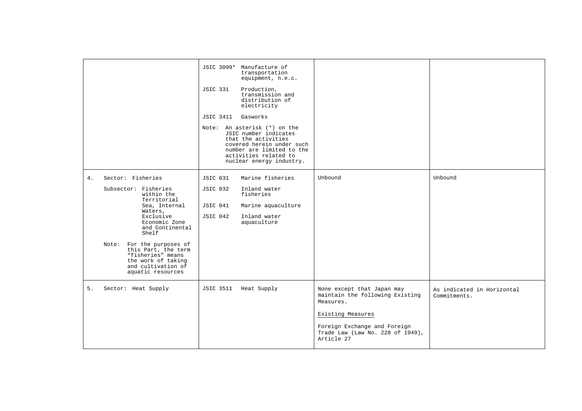|    |                                                                                                                                                                                                                                                                                                        | JSIC 3099* Manufacture of<br>transportation<br>equipment, n.e.c.<br><b>JSIC 331</b><br>Production,<br>transmission and<br>distribution of<br>electricity<br>Gasworks<br>JSIC 3411<br>Note: An asterisk (*) on the<br>JSIC number indicates<br>that the activities<br>covered herein under such<br>number are limited to the<br>activities related to<br>nuclear energy industry. |                                                                                                                                                                                   |                                            |
|----|--------------------------------------------------------------------------------------------------------------------------------------------------------------------------------------------------------------------------------------------------------------------------------------------------------|----------------------------------------------------------------------------------------------------------------------------------------------------------------------------------------------------------------------------------------------------------------------------------------------------------------------------------------------------------------------------------|-----------------------------------------------------------------------------------------------------------------------------------------------------------------------------------|--------------------------------------------|
| 4. | Sector: Fisheries<br>Subsector: Fisheries<br>within the<br>Territorial<br>Sea, Internal<br>Waters,<br>Exclusive<br>Economic Zone<br>and Continental<br>Shelf<br>Note: For the purposes of<br>this Part, the term<br>"fisheries" means<br>the work of taking<br>and cultivation of<br>aquatic resources | Marine fisheries<br><b>JSIC 031</b><br>JSIC 032<br>Inland water<br>fisheries<br>JSIC 041<br>Marine aquaculture<br>Inland water<br>JSIC 042<br>aquaculture                                                                                                                                                                                                                        | Unbound                                                                                                                                                                           | Unbound                                    |
| 5. | Sector: Heat Supply                                                                                                                                                                                                                                                                                    | JSIC 3511 Heat Supply                                                                                                                                                                                                                                                                                                                                                            | None except that Japan may<br>maintain the following Existing<br>Measures.<br>Existing Measures<br>Foreign Exchange and Foreign<br>Trade Law (Law No. 228 of 1949),<br>Article 27 | As indicated in Horizontal<br>Commitments. |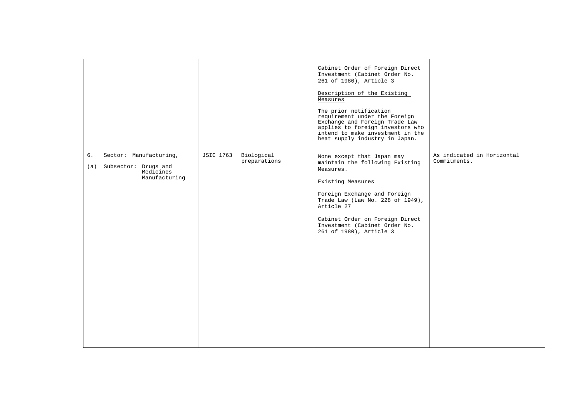|                                                                                        |                                                | Cabinet Order of Foreign Direct<br>Investment (Cabinet Order No.<br>261 of 1980), Article 3<br>Description of the Existing<br>Measures<br>The prior notification<br>requirement under the Foreign<br>Exchange and Foreign Trade Law<br>applies to foreign investors who<br>intend to make investment in the<br>heat supply industry in Japan. |                                            |
|----------------------------------------------------------------------------------------|------------------------------------------------|-----------------------------------------------------------------------------------------------------------------------------------------------------------------------------------------------------------------------------------------------------------------------------------------------------------------------------------------------|--------------------------------------------|
| Sector: Manufacturing,<br>6.<br>(a) Subsector: Drugs and<br>Medicines<br>Manufacturing | Biological<br><b>JSIC 1763</b><br>preparations | None except that Japan may<br>maintain the following Existing<br>Measures.<br>Existing Measures<br>Foreign Exchange and Foreign<br>Trade Law (Law No. 228 of 1949),<br>Article 27<br>Cabinet Order on Foreign Direct<br>Investment (Cabinet Order No.<br>261 of 1980), Article 3                                                              | As indicated in Horizontal<br>Commitments. |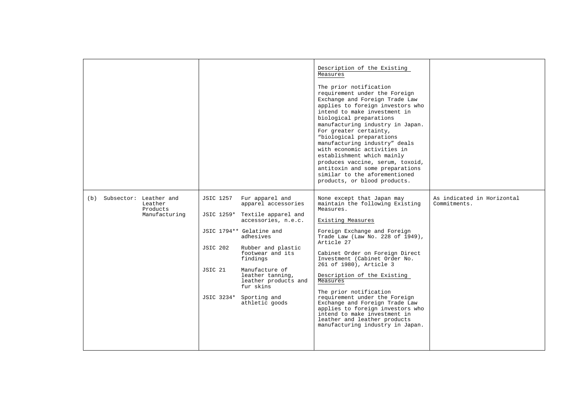|                                                                    |                                                                                                                                                                                                                                                                                                                                                            | Description of the Existing<br>Measures<br>The prior notification<br>requirement under the Foreign<br>Exchange and Foreign Trade Law<br>applies to foreign investors who<br>intend to make investment in<br>biological preparations<br>manufacturing industry in Japan.<br>For greater certainty,<br>"biological preparations<br>manufacturing industry" deals<br>with economic activities in<br>establishment which mainly<br>produces vaccine, serum, toxoid,<br>antitoxin and some preparations<br>similar to the aforementioned<br>products, or blood products. |                                            |
|--------------------------------------------------------------------|------------------------------------------------------------------------------------------------------------------------------------------------------------------------------------------------------------------------------------------------------------------------------------------------------------------------------------------------------------|---------------------------------------------------------------------------------------------------------------------------------------------------------------------------------------------------------------------------------------------------------------------------------------------------------------------------------------------------------------------------------------------------------------------------------------------------------------------------------------------------------------------------------------------------------------------|--------------------------------------------|
| (b) Subsector: Leather and<br>Leather<br>Products<br>Manufacturing | Fur apparel and<br>JSIC 1257<br>apparel accessories<br>JSIC 1259* Textile apparel and<br>accessories, n.e.c.<br>JSIC 1794** Gelatine and<br>adhesives<br>JSIC 202<br>Rubber and plastic<br>footwear and its<br>findings<br>Manufacture of<br>JSIC 21<br>leather tanning,<br>leather products and<br>fur skins<br>JSIC 3234* Sporting and<br>athletic goods | None except that Japan may<br>maintain the following Existing<br>Measures.<br>Existing Measures<br>Foreign Exchange and Foreign<br>Trade Law (Law No. 228 of 1949),<br>Article 27<br>Cabinet Order on Foreign Direct<br>Investment (Cabinet Order No.<br>261 of 1980), Article 3<br>Description of the Existing<br>Measures<br>The prior notification<br>requirement under the Foreign<br>Exchange and Foreign Trade Law<br>applies to foreign investors who<br>intend to make investment in<br>leather and leather products<br>manufacturing industry in Japan.    | As indicated in Horizontal<br>Commitments. |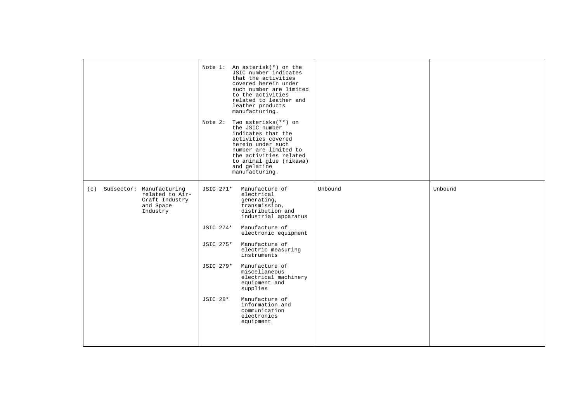|                                                                                               | Note 1: An asterisk(*) on the<br>JSIC number indicates<br>that the activities<br>covered herein under<br>such number are limited<br>to the activities<br>related to leather and<br>leather products<br>manufacturing.<br>Note 2:<br>Two asterisks (**) on<br>the JSIC number<br>indicates that the<br>activities covered<br>herein under such<br>number are limited to<br>the activities related<br>to animal glue (nikawa)<br>and gelatine<br>manufacturing. |         |         |
|-----------------------------------------------------------------------------------------------|---------------------------------------------------------------------------------------------------------------------------------------------------------------------------------------------------------------------------------------------------------------------------------------------------------------------------------------------------------------------------------------------------------------------------------------------------------------|---------|---------|
| Subsector: Manufacturing<br>(c)<br>related to Air-<br>Craft Industry<br>and Space<br>Industry | Manufacture of<br>JSIC 271*<br>electrical<br>generating,<br>transmission,<br>distribution and<br>industrial apparatus<br>JSIC 274*<br>Manufacture of<br>electronic equipment<br>JSIC 275*<br>Manufacture of<br>electric measuring<br>instruments<br>JSIC 279*<br>Manufacture of<br>miscellaneous<br>electrical machinery<br>equipment and<br>supplies<br><b>JSIC 28*</b><br>Manufacture of<br>information and<br>communication<br>electronics<br>equipment    | Unbound | Unbound |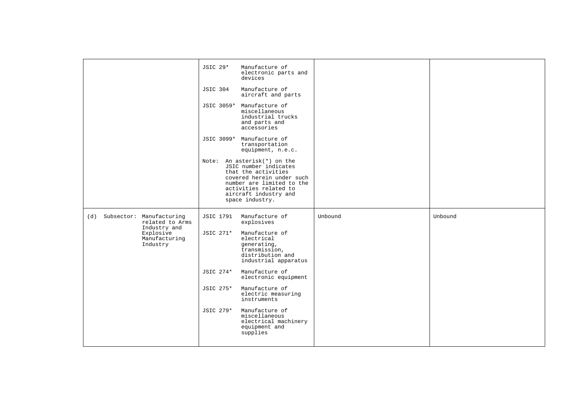|                                                                    | <b>JSIC 29*</b><br>Manufacture of<br>electronic parts and<br>devices                                                                                                                                       |         |         |
|--------------------------------------------------------------------|------------------------------------------------------------------------------------------------------------------------------------------------------------------------------------------------------------|---------|---------|
|                                                                    | Manufacture of<br><b>JSIC 304</b><br>aircraft and parts                                                                                                                                                    |         |         |
|                                                                    | JSIC 3059* Manufacture of<br>miscellaneous<br>industrial trucks<br>and parts and<br>accessories                                                                                                            |         |         |
|                                                                    | JSIC 3099* Manufacture of<br>transportation<br>equipment, n.e.c.                                                                                                                                           |         |         |
|                                                                    | Note: An asterisk(*) on the<br>JSIC number indicates<br>that the activities<br>covered herein under such<br>number are limited to the<br>activities related to<br>aircraft industry and<br>space industry. |         |         |
| Subsector: Manufacturing<br>(d)<br>related to Arms<br>Industry and | Manufacture of<br>JSIC 1791<br>explosives                                                                                                                                                                  | Unbound | Unbound |
| Explosive<br>Manufacturing<br>Industry                             | JSIC 271*<br>Manufacture of<br>electrical<br>generating,<br>transmission,<br>distribution and<br>industrial apparatus                                                                                      |         |         |
|                                                                    | Manufacture of<br>JSIC 274*<br>electronic equipment                                                                                                                                                        |         |         |
|                                                                    | JSIC 275*<br>Manufacture of<br>electric measuring<br>instruments                                                                                                                                           |         |         |
|                                                                    | JSIC 279*<br>Manufacture of<br>miscellaneous<br>electrical machinery<br>equipment and<br>supplies                                                                                                          |         |         |
|                                                                    |                                                                                                                                                                                                            |         |         |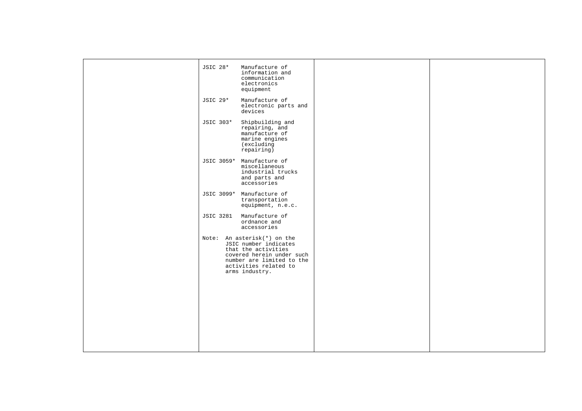|  | <b>JSIC 28*</b>  | Manufacture of<br>information and<br>communication<br>electronics<br>equipment                                                                                                   |  |
|--|------------------|----------------------------------------------------------------------------------------------------------------------------------------------------------------------------------|--|
|  | JSIC 29*         | Manufacture of<br>electronic parts and<br>devices                                                                                                                                |  |
|  | JSIC 303*        | Shipbuilding and<br>repairing, and<br>manufacture of<br>marine engines<br>(excluding<br>repairing)                                                                               |  |
|  |                  | JSIC 3059* Manufacture of<br>miscellaneous<br>industrial trucks<br>and parts and<br>accessories                                                                                  |  |
|  |                  | JSIC 3099* Manufacture of<br>transportation<br>equipment, n.e.c.                                                                                                                 |  |
|  | <b>JSIC 3281</b> | Manufacture of<br>ordnance and<br>accessories                                                                                                                                    |  |
|  |                  | Note: An asterisk(*) on the<br>JSIC number indicates<br>that the activities<br>covered herein under such<br>number are limited to the<br>activities related to<br>arms industry. |  |
|  |                  |                                                                                                                                                                                  |  |
|  |                  |                                                                                                                                                                                  |  |
|  |                  |                                                                                                                                                                                  |  |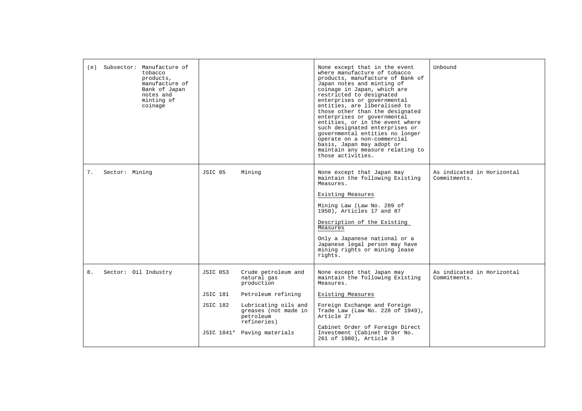| (e) Subsector: Manufacture of<br>tobacco<br>products,<br>manufacture of<br>Bank of Japan<br>notes and<br>minting of<br>coinage |                                                                                                                                               |                                                                                           | None except that in the event<br>where manufacture of tobacco<br>products, manufacture of Bank of<br>Japan notes and minting of<br>coinage in Japan, which are<br>restricted to designated<br>enterprises or governmental<br>entities, are liberalised to<br>those other than the designated<br>enterprises or governmental<br>entities, or in the event where<br>such designated enterprises or<br>governmental entities no longer<br>operate on a non-commercial<br>basis, Japan may adopt or<br>maintain any measure relating to<br>those activities. | IInhound                                   |
|--------------------------------------------------------------------------------------------------------------------------------|-----------------------------------------------------------------------------------------------------------------------------------------------|-------------------------------------------------------------------------------------------|----------------------------------------------------------------------------------------------------------------------------------------------------------------------------------------------------------------------------------------------------------------------------------------------------------------------------------------------------------------------------------------------------------------------------------------------------------------------------------------------------------------------------------------------------------|--------------------------------------------|
| 7.<br>Sector: Mining                                                                                                           | JSIC 05<br>Mining                                                                                                                             |                                                                                           | None except that Japan may<br>maintain the following Existing<br>Measures.<br>Existing Measures<br>Mining Law (Law No. 289 of<br>1950), Articles 17 and 87<br>Description of the Existing<br>Measures<br>Only a Japanese national or a<br>Japanese legal person may have<br>mining rights or mining lease<br>rights.                                                                                                                                                                                                                                     | As indicated in Horizontal<br>Commitments. |
| 8.<br>Sector: Oil Industry                                                                                                     | <b>JSIC 053</b><br>natural gas<br>production<br><b>JSIC 181</b><br><b>JSIC 182</b><br>petroleum<br>refineries)<br>JSIC 1841* Paving materials | Crude petroleum and<br>Petroleum refining<br>Lubricating oils and<br>greases (not made in | None except that Japan may<br>maintain the following Existing<br>Measures.<br>Existing Measures<br>Foreign Exchange and Foreign<br>Trade Law (Law No. 228 of 1949),<br>Article 27<br>Cabinet Order of Foreign Direct<br>Investment (Cabinet Order No.<br>261 of 1980), Article 3                                                                                                                                                                                                                                                                         | As indicated in Horizontal<br>Commitments. |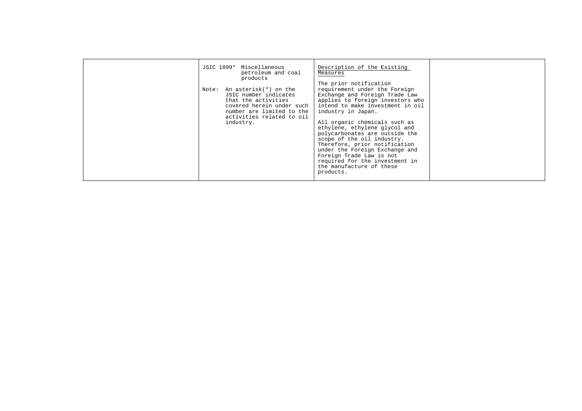| JSIC 1899* Miscellaneous<br>petroleum and coal<br>products<br>Note: An asterisk(*) on the<br>JSIC number indicates<br>that the activities<br>covered herein under such<br>number are limited to the<br>activities related to oil<br>industry. | Description of the Existing<br>Measures<br>The prior notification<br>requirement under the Foreign<br>Exchange and Foreign Trade Law<br>applies to foreign investors who<br>intend to make investment in oil<br>industry in Japan.<br>All organic chemicals such as<br>ethylene, ethylene glycol and<br>polycarbonates are outside the<br>scope of the oil industry.<br>Therefore, prior notification<br>under the Foreign Exchange and<br>Foreign Trade Law is not<br>required for the investment in<br>the manufacture of these<br>products. |  |
|-----------------------------------------------------------------------------------------------------------------------------------------------------------------------------------------------------------------------------------------------|------------------------------------------------------------------------------------------------------------------------------------------------------------------------------------------------------------------------------------------------------------------------------------------------------------------------------------------------------------------------------------------------------------------------------------------------------------------------------------------------------------------------------------------------|--|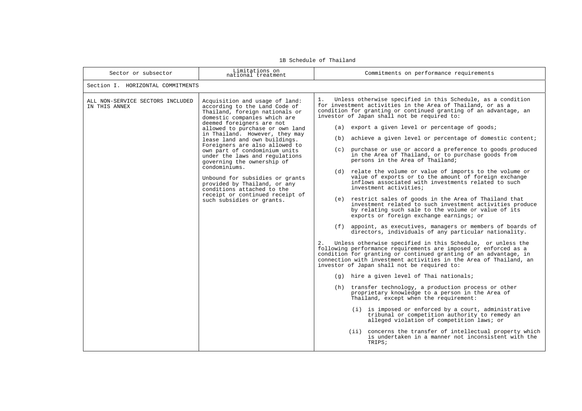| Sector or subsector                               | Limitations on<br>national treatment                                                                                                                                                                                                                                                                                                                                                                                                                                                                                                                                                      | Commitments on performance requirements                                                                                                                                                                                                                                                                                                                                                                                                                                                                                                                                                                                                                                                                                                                                                                                                                                                                                                                                                                                                                                                                                                                                                                                                                                                                                                                                                                                                                                                                                                                                                                                                                                                                                                                                                                                                                                                                                |  |  |  |  |
|---------------------------------------------------|-------------------------------------------------------------------------------------------------------------------------------------------------------------------------------------------------------------------------------------------------------------------------------------------------------------------------------------------------------------------------------------------------------------------------------------------------------------------------------------------------------------------------------------------------------------------------------------------|------------------------------------------------------------------------------------------------------------------------------------------------------------------------------------------------------------------------------------------------------------------------------------------------------------------------------------------------------------------------------------------------------------------------------------------------------------------------------------------------------------------------------------------------------------------------------------------------------------------------------------------------------------------------------------------------------------------------------------------------------------------------------------------------------------------------------------------------------------------------------------------------------------------------------------------------------------------------------------------------------------------------------------------------------------------------------------------------------------------------------------------------------------------------------------------------------------------------------------------------------------------------------------------------------------------------------------------------------------------------------------------------------------------------------------------------------------------------------------------------------------------------------------------------------------------------------------------------------------------------------------------------------------------------------------------------------------------------------------------------------------------------------------------------------------------------------------------------------------------------------------------------------------------------|--|--|--|--|
| Section I. HORIZONTAL COMMITMENTS                 |                                                                                                                                                                                                                                                                                                                                                                                                                                                                                                                                                                                           |                                                                                                                                                                                                                                                                                                                                                                                                                                                                                                                                                                                                                                                                                                                                                                                                                                                                                                                                                                                                                                                                                                                                                                                                                                                                                                                                                                                                                                                                                                                                                                                                                                                                                                                                                                                                                                                                                                                        |  |  |  |  |
| ALL NON-SERVICE SECTORS INCLUDED<br>IN THIS ANNEX | Acquisition and usage of land:<br>according to the Land Code of<br>Thailand, foreign nationals or<br>domestic companies which are<br>deemed foreigners are not<br>allowed to purchase or own land<br>in Thailand. However, they may<br>lease land and own buildings.<br>Foreigners are also allowed to<br>own part of condominium units<br>under the laws and regulations<br>governing the ownership of<br>condominiums.<br>Unbound for subsidies or grants<br>provided by Thailand, or any<br>conditions attached to the<br>receipt or continued receipt of<br>such subsidies or grants. | Unless otherwise specified in this Schedule, as a condition<br>1.<br>for investment activities in the Area of Thailand, or as a<br>condition for granting or continued granting of an advantage, an<br>investor of Japan shall not be required to:<br>(a) export a given level or percentage of goods;<br>(b) achieve a given level or percentage of domestic content;<br>(c) purchase or use or accord a preference to goods produced<br>in the Area of Thailand, or to purchase goods from<br>persons in the Area of Thailand;<br>(d) relate the volume or value of imports to the volume or<br>value of exports or to the amount of foreign exchange<br>inflows associated with investments related to such<br>investment activities;<br>(e) restrict sales of goods in the Area of Thailand that<br>investment related to such investment activities produce<br>by relating such sale to the volume or value of its<br>exports or foreign exchange earnings; or<br>(f) appoint, as executives, managers or members of boards of<br>directors, individuals of any particular nationality.<br>2.<br>Unless otherwise specified in this Schedule, or unless the<br>following performance requirements are imposed or enforced as a<br>condition for granting or continued granting of an advantage, in<br>connection with investment activities in the Area of Thailand, an<br>investor of Japan shall not be required to:<br>(g) hire a given level of Thai nationals;<br>(h) transfer technology, a production process or other<br>proprietary knowledge to a person in the Area of<br>Thailand, except when the requirement:<br>(i) is imposed or enforced by a court, administrative<br>tribunal or competition authority to remedy an<br>alleged violation of competition laws; or<br>(ii) concerns the transfer of intellectual property which<br>is undertaken in a manner not inconsistent with the<br>TRIPS; |  |  |  |  |

1B Schedule of Thailand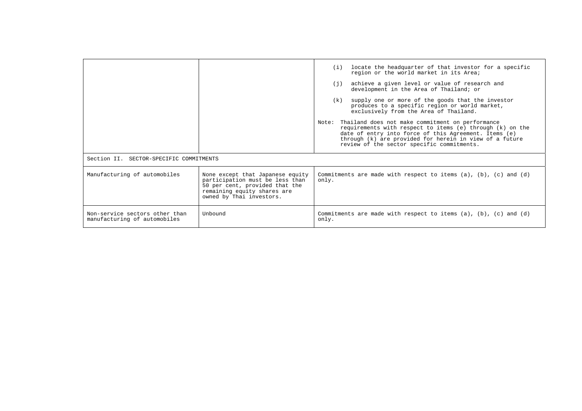|                                                                |                                                                                                                                                                  | (i) locate the headquarter of that investor for a specific<br>region or the world market in its Area;<br>(j) achieve a given level or value of research and<br>development in the Area of Thailand; or<br>supply one or more of the goods that the investor<br>(k)<br>produces to a specific region or world market,<br>exclusively from the Area of Thailand.<br>Thailand does not make commitment on performance<br>Note:<br>requirements with respect to items (e) through (k) on the<br>date of entry into force of this Agreement. Items (e)<br>through (k) are provided for herein in view of a future<br>review of the sector specific commitments. |
|----------------------------------------------------------------|------------------------------------------------------------------------------------------------------------------------------------------------------------------|------------------------------------------------------------------------------------------------------------------------------------------------------------------------------------------------------------------------------------------------------------------------------------------------------------------------------------------------------------------------------------------------------------------------------------------------------------------------------------------------------------------------------------------------------------------------------------------------------------------------------------------------------------|
| Section II. SECTOR-SPECIFIC COMMITMENTS                        |                                                                                                                                                                  |                                                                                                                                                                                                                                                                                                                                                                                                                                                                                                                                                                                                                                                            |
| Manufacturing of automobiles                                   | None except that Japanese equity<br>participation must be less than<br>50 per cent, provided that the<br>remaining equity shares are<br>owned by Thai investors. | Commitments are made with respect to items $(a)$ , $(b)$ , $(c)$ and $(d)$<br>only.                                                                                                                                                                                                                                                                                                                                                                                                                                                                                                                                                                        |
| Non-service sectors other than<br>manufacturing of automobiles | Unbound                                                                                                                                                          | Commitments are made with respect to items $(a)$ , $(b)$ , $(c)$ and $(d)$<br>only.                                                                                                                                                                                                                                                                                                                                                                                                                                                                                                                                                                        |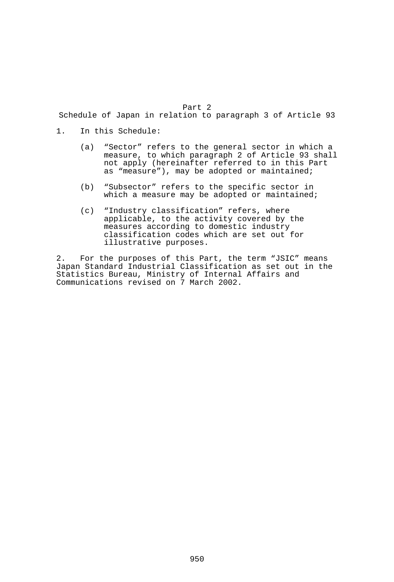Part 2

Schedule of Japan in relation to paragraph 3 of Article 93

- 1. In this Schedule:
- (a) "Sector" refers to the general sector in which a measure, to which paragraph 2 of Article 93 shall not apply (hereinafter referred to in this Part as "measure"), may be adopted or maintained;
	- (b) "Subsector" refers to the specific sector in which a measure may be adopted or maintained;
	- (c) "Industry classification" refers, where applicable, to the activity covered by the measures according to domestic industry classification codes which are set out for illustrative purposes.

2. For the purposes of this Part, the term "JSIC" means Japan Standard Industrial Classification as set out in the Statistics Bureau, Ministry of Internal Affairs and Communications revised on 7 March 2002.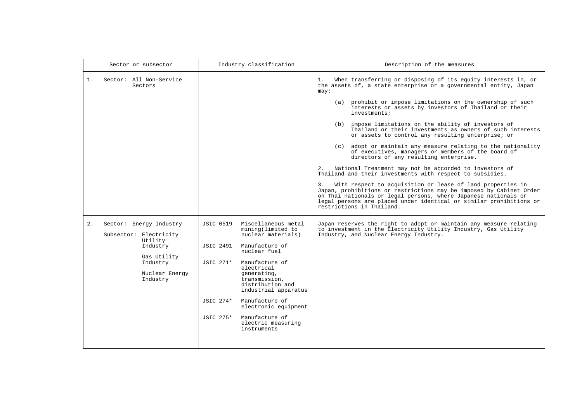| Sector or subsector                                                                                                                     | Industry classification                                                                                                                                                                                                                                                                                                                                                        | Description of the measures                                                                                                                                                                                                                                                                                                                                                                                                                                                                                                                                                                                                                                                                                                                                                                                                                                                                                                                                                                                                                                                      |
|-----------------------------------------------------------------------------------------------------------------------------------------|--------------------------------------------------------------------------------------------------------------------------------------------------------------------------------------------------------------------------------------------------------------------------------------------------------------------------------------------------------------------------------|----------------------------------------------------------------------------------------------------------------------------------------------------------------------------------------------------------------------------------------------------------------------------------------------------------------------------------------------------------------------------------------------------------------------------------------------------------------------------------------------------------------------------------------------------------------------------------------------------------------------------------------------------------------------------------------------------------------------------------------------------------------------------------------------------------------------------------------------------------------------------------------------------------------------------------------------------------------------------------------------------------------------------------------------------------------------------------|
| 1 <sup>1</sup><br>Sector: All Non-Service<br>Sectors                                                                                    |                                                                                                                                                                                                                                                                                                                                                                                | When transferring or disposing of its equity interests in, or<br>1.<br>the assets of, a state enterprise or a governmental entity, Japan<br>may:<br>(a) prohibit or impose limitations on the ownership of such<br>interests or assets by investors of Thailand or their<br>investments;<br>(b) impose limitations on the ability of investors of<br>Thailand or their investments as owners of such interests<br>or assets to control any resulting enterprise; or<br>(c) adopt or maintain any measure relating to the nationality<br>of executives, managers or members of the board of<br>directors of any resulting enterprise.<br>National Treatment may not be accorded to investors of<br>2.<br>Thailand and their investments with respect to subsidies.<br>3. With respect to acquisition or lease of land properties in<br>Japan, prohibitions or restrictions may be imposed by Cabinet Order<br>on Thai nationals or legal persons, where Japanese nationals or<br>legal persons are placed under identical or similar prohibitions or<br>restrictions in Thailand. |
| 2.<br>Sector: Energy Industry<br>Subsector: Electricity<br>Utility<br>Industry<br>Gas Utility<br>Industry<br>Nuclear Energy<br>Industry | Miscellaneous metal<br>JSIC 0519<br>mining(limited to<br>nuclear materials)<br>JSIC 2491<br>Manufacture of<br>nuclear fuel<br>JSIC 271*<br>Manufacture of<br>electrical<br>generating,<br>transmission,<br>distribution and<br>industrial apparatus<br>Manufacture of<br>JSIC 274*<br>electronic equipment<br>JSIC 275*<br>Manufacture of<br>electric measuring<br>instruments | Japan reserves the right to adopt or maintain any measure relating<br>to investment in the Electricity Utility Industry, Gas Utility<br>Industry, and Nuclear Energy Industry.                                                                                                                                                                                                                                                                                                                                                                                                                                                                                                                                                                                                                                                                                                                                                                                                                                                                                                   |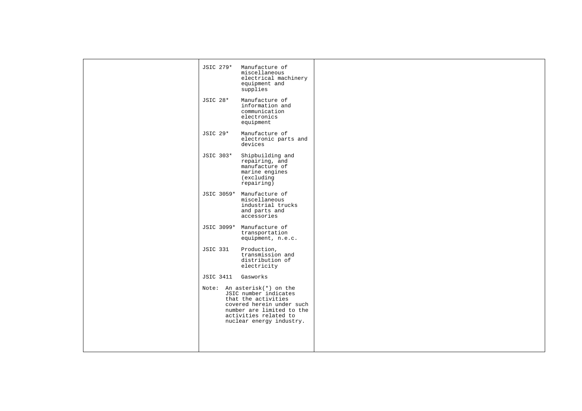| JSIC 279*        | Manufacture of<br>miscellaneous<br>electrical machinery<br>equipment and<br>supplies                                                                                                       |  |
|------------------|--------------------------------------------------------------------------------------------------------------------------------------------------------------------------------------------|--|
| <b>JSIC 28*</b>  | Manufacture of<br>information and<br>communication<br>electronics<br>equipment                                                                                                             |  |
| JSIC 29*         | Manufacture of<br>electronic parts and<br>devices                                                                                                                                          |  |
| JSIC 303*        | Shipbuilding and<br>repairing, and<br>manufacture of<br>marine engines<br>(excluding<br>repairing)                                                                                         |  |
|                  | JSIC 3059* Manufacture of<br>miscellaneous<br>industrial trucks<br>and parts and<br>accessories                                                                                            |  |
|                  | JSIC 3099* Manufacture of<br>transportation<br>equipment, n.e.c.                                                                                                                           |  |
| <b>JSIC 331</b>  | Production,<br>transmission and<br>distribution of<br>electricity                                                                                                                          |  |
| <b>JSIC 3411</b> | Gasworks                                                                                                                                                                                   |  |
|                  | Note: An asterisk(*) on the<br>JSIC number indicates<br>that the activities<br>covered herein under such<br>number are limited to the<br>activities related to<br>nuclear energy industry. |  |
|                  |                                                                                                                                                                                            |  |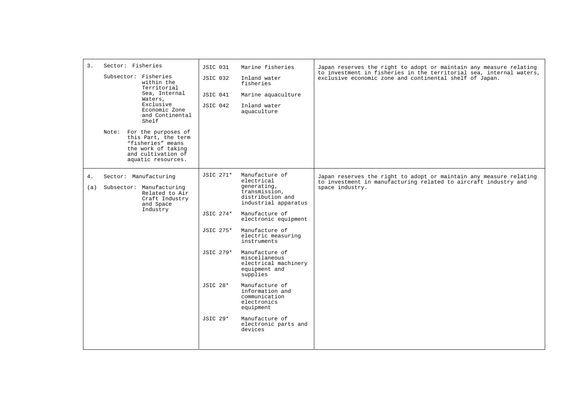| $\overline{3}$ . | Sector: Fisheries<br>Subsector: Fisheries<br>within the<br>Territorial<br>Sea, Internal<br>Waters,<br>Exclusive<br>Economic Zone<br>and Continental<br>Shelf<br>Note: For the purposes of<br>this Part, the term<br>"fisheries" means<br>the work of taking<br>and cultivation of<br>aquatic resources. | <b>JSIC 031</b><br><b>JSIC 032</b><br>JSIC 041<br>JSIC 042                      | Marine fisheries<br>Inland water<br>fisheries<br>Marine aquaculture<br>Inland water<br>aquaculture                                                                                                                                                                                                                                                                                                                                       | Japan reserves the right to adopt or maintain any measure relating<br>to investment in fisheries in the territorial sea, internal waters,<br>exclusive economic zone and continental shelf of Japan. |
|------------------|---------------------------------------------------------------------------------------------------------------------------------------------------------------------------------------------------------------------------------------------------------------------------------------------------------|---------------------------------------------------------------------------------|------------------------------------------------------------------------------------------------------------------------------------------------------------------------------------------------------------------------------------------------------------------------------------------------------------------------------------------------------------------------------------------------------------------------------------------|------------------------------------------------------------------------------------------------------------------------------------------------------------------------------------------------------|
| 4.<br>(a)        | Sector: Manufacturing<br>Subsector: Manufacturing<br>Related to Air<br>Craft Industry<br>and Space<br>Industry                                                                                                                                                                                          | JSIC 271*<br>JSIC 274*<br>JSIC 275*<br>JSIC 279*<br>JSIC 28*<br><b>JSIC 29*</b> | Manufacture of<br>electrical<br>generating,<br>transmission,<br>distribution and<br>industrial apparatus<br>Manufacture of<br>electronic equipment<br>Manufacture of<br>electric measuring<br>instruments<br>Manufacture of<br>miscellaneous<br>electrical machinery<br>equipment and<br>supplies<br>Manufacture of<br>information and<br>communication<br>electronics<br>equipment<br>Manufacture of<br>electronic parts and<br>devices | Japan reserves the right to adopt or maintain any measure relating<br>to investment in manufacturing related to aircraft industry and<br>space industry.                                             |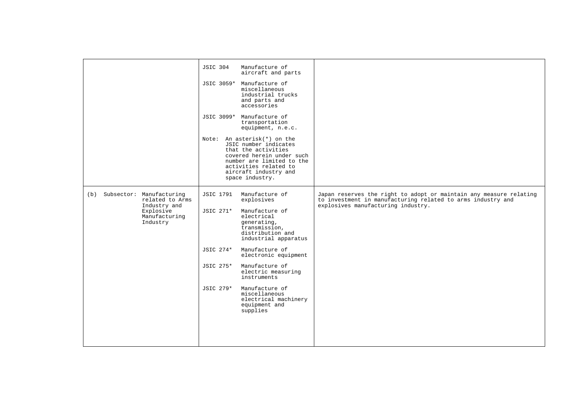|                                                                                                           | Manufacture of<br><b>JSIC 304</b><br>aircraft and parts<br>JSIC 3059* Manufacture of<br>miscellaneous<br>industrial trucks<br>and parts and<br>accessories<br>JSIC 3099* Manufacture of<br>transportation<br>equipment, n.e.c.<br>Note: An asterisk(*) on the<br>JSIC number indicates<br>that the activities<br>covered herein under such<br>number are limited to the<br>activities related to<br>aircraft industry and<br>space industry. |                                                                                                                                                                         |
|-----------------------------------------------------------------------------------------------------------|----------------------------------------------------------------------------------------------------------------------------------------------------------------------------------------------------------------------------------------------------------------------------------------------------------------------------------------------------------------------------------------------------------------------------------------------|-------------------------------------------------------------------------------------------------------------------------------------------------------------------------|
| (b) Subsector: Manufacturing<br>related to Arms<br>Industry and<br>Explosive<br>Manufacturing<br>Industry | Manufacture of<br>JSIC 1791<br>explosives<br>JSIC 271*<br>Manufacture of<br>electrical<br>qenerating,<br>transmission,<br>distribution and<br>industrial apparatus<br>JSIC 274*<br>Manufacture of<br>electronic equipment<br>JSIC 275*<br>Manufacture of<br>electric measuring<br>instruments<br>Manufacture of<br>JSIC 279*<br>miscellaneous<br>electrical machinery<br>equipment and<br>supplies                                           | Japan reserves the right to adopt or maintain any measure relating<br>to investment in manufacturing related to arms industry and<br>explosives manufacturing industry. |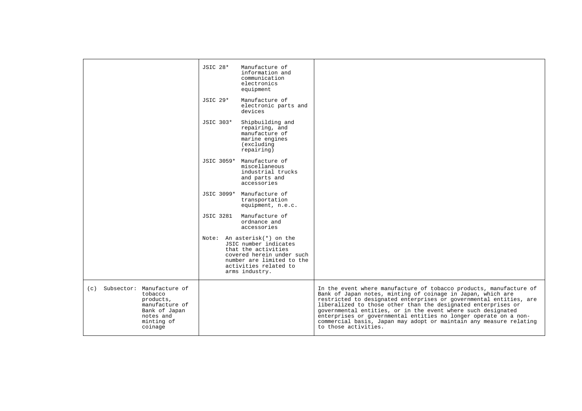|                                                                                                                                   | <b>JSIC 28*</b><br>Manufacture of<br>information and<br>communication<br>electronics<br>equipment                                                                                |                                                                                                                                                                                                                                                                                                                                                                                                                                                                                                            |
|-----------------------------------------------------------------------------------------------------------------------------------|----------------------------------------------------------------------------------------------------------------------------------------------------------------------------------|------------------------------------------------------------------------------------------------------------------------------------------------------------------------------------------------------------------------------------------------------------------------------------------------------------------------------------------------------------------------------------------------------------------------------------------------------------------------------------------------------------|
|                                                                                                                                   | JSIC 29*<br>Manufacture of<br>electronic parts and<br>devices                                                                                                                    |                                                                                                                                                                                                                                                                                                                                                                                                                                                                                                            |
|                                                                                                                                   | JSIC 303*<br>Shipbuilding and<br>repairing, and<br>manufacture of<br>marine engines<br>(excluding<br>repairing)                                                                  |                                                                                                                                                                                                                                                                                                                                                                                                                                                                                                            |
|                                                                                                                                   | JSIC 3059* Manufacture of<br>miscellaneous<br>industrial trucks<br>and parts and<br>accessories                                                                                  |                                                                                                                                                                                                                                                                                                                                                                                                                                                                                                            |
|                                                                                                                                   | JSIC 3099* Manufacture of<br>transportation<br>equipment, n.e.c.                                                                                                                 |                                                                                                                                                                                                                                                                                                                                                                                                                                                                                                            |
|                                                                                                                                   | <b>JSIC 3281</b><br>Manufacture of<br>ordnance and<br>accessories                                                                                                                |                                                                                                                                                                                                                                                                                                                                                                                                                                                                                                            |
|                                                                                                                                   | Note: An asterisk(*) on the<br>JSIC number indicates<br>that the activities<br>covered herein under such<br>number are limited to the<br>activities related to<br>arms industry. |                                                                                                                                                                                                                                                                                                                                                                                                                                                                                                            |
| Subsector: Manufacture of<br>(c)<br>tobacco<br>products,<br>manufacture of<br>Bank of Japan<br>notes and<br>minting of<br>coinage |                                                                                                                                                                                  | In the event where manufacture of tobacco products, manufacture of<br>Bank of Japan notes, minting of coinage in Japan, which are<br>restricted to designated enterprises or governmental entities, are<br>liberalized to those other than the designated enterprises or<br>governmental entities, or in the event where such designated<br>enterprises or governmental entities no longer operate on a non-<br>commercial basis, Japan may adopt or maintain any measure relating<br>to those activities. |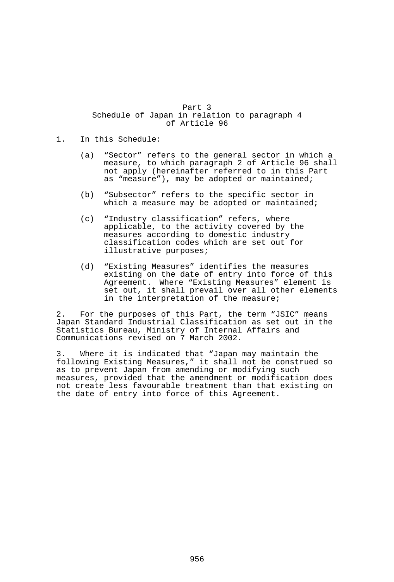Part 3 Schedule of Japan in relation to paragraph 4 of Article 96

- 1. In this Schedule:
	- (a) "Sector" refers to the general sector in which a measure, to which paragraph 2 of Article 96 shall not apply (hereinafter referred to in this Part as "measure"), may be adopted or maintained;
	- (b) "Subsector" refers to the specific sector in which a measure may be adopted or maintained;
	- (c) "Industry classification" refers, where applicable, to the activity covered by the measures according to domestic industry classification codes which are set out for illustrative purposes;
	- (d) "Existing Measures" identifies the measures existing on the date of entry into force of this Agreement. Where "Existing Measures" element is set out, it shall prevail over all other elements in the interpretation of the measure;

2. For the purposes of this Part, the term "JSIC" means Japan Standard Industrial Classification as set out in the Statistics Bureau, Ministry of Internal Affairs and Communications revised on 7 March 2002.

3. Where it is indicated that "Japan may maintain the following Existing Measures," it shall not be construed so as to prevent Japan from amending or modifying such measures, provided that the amendment or modification does not create less favourable treatment than that existing on the date of entry into force of this Agreement.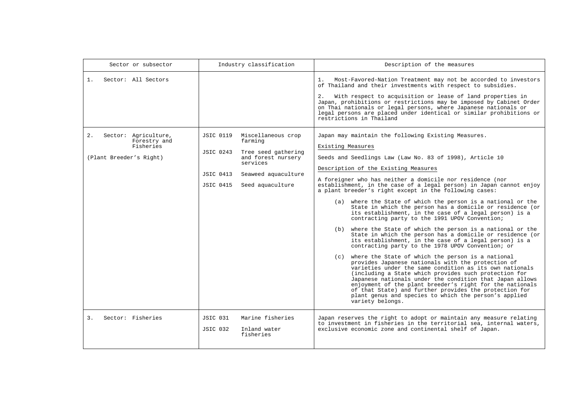| Sector or subsector                                                                | Industry classification                                                                                                                                                                                    | Description of the measures                                                                                                                                                                                                                                                                                                                                                                                                                                                                                                                                                                                                                                                                                                                                                                                                                                                                                                                                                                                                                                                                                                                                                                                                                                                                                                                                       |  |  |
|------------------------------------------------------------------------------------|------------------------------------------------------------------------------------------------------------------------------------------------------------------------------------------------------------|-------------------------------------------------------------------------------------------------------------------------------------------------------------------------------------------------------------------------------------------------------------------------------------------------------------------------------------------------------------------------------------------------------------------------------------------------------------------------------------------------------------------------------------------------------------------------------------------------------------------------------------------------------------------------------------------------------------------------------------------------------------------------------------------------------------------------------------------------------------------------------------------------------------------------------------------------------------------------------------------------------------------------------------------------------------------------------------------------------------------------------------------------------------------------------------------------------------------------------------------------------------------------------------------------------------------------------------------------------------------|--|--|
| Sector: All Sectors<br>1.                                                          |                                                                                                                                                                                                            | Most-Favored-Nation Treatment may not be accorded to investors<br>$1$ .<br>of Thailand and their investments with respect to subsidies.<br>With respect to acquisition or lease of land properties in<br>2.<br>Japan, prohibitions or restrictions may be imposed by Cabinet Order<br>on Thai nationals or legal persons, where Japanese nationals or<br>legal persons are placed under identical or similar prohibitions or<br>restrictions in Thailand                                                                                                                                                                                                                                                                                                                                                                                                                                                                                                                                                                                                                                                                                                                                                                                                                                                                                                          |  |  |
| 2.<br>Sector: Agriculture,<br>Forestry and<br>Fisheries<br>(Plant Breeder's Right) | Miscellaneous crop<br><b>JSIC 0119</b><br>farming<br><b>JSIC 0243</b><br>Tree seed gathering<br>and forest nursery<br>services<br><b>JSIC 0413</b><br>Seaweed aquaculture<br>JSIC 0415<br>Seed aquaculture | Japan may maintain the following Existing Measures.<br>Existing Measures<br>Seeds and Seedlings Law (Law No. 83 of 1998), Article 10<br>Description of the Existing Measures<br>A foreigner who has neither a domicile nor residence (nor<br>establishment, in the case of a legal person) in Japan cannot enjoy<br>a plant breeder's right except in the following cases:<br>(a) where the State of which the person is a national or the<br>State in which the person has a domicile or residence (or<br>its establishment, in the case of a legal person) is a<br>contracting party to the 1991 UPOV Convention;<br>(b) where the State of which the person is a national or the<br>State in which the person has a domicile or residence (or<br>its establishment, in the case of a legal person) is a<br>contracting party to the 1978 UPOV Convention; or<br>(c) where the State of which the person is a national<br>provides Japanese nationals with the protection of<br>varieties under the same condition as its own nationals<br>(including a State which provides such protection for<br>Japanese nationals under the condition that Japan allows<br>enjoyment of the plant breeder's right for the nationals<br>of that State) and further provides the protection for<br>plant genus and species to which the person's applied<br>variety belongs. |  |  |
| $\overline{3}$ .<br>Sector: Fisheries                                              | JSIC 031<br>Marine fisheries<br>Inland water<br>JSIC 032<br>fisheries                                                                                                                                      | Japan reserves the right to adopt or maintain any measure relating<br>to investment in fisheries in the territorial sea, internal waters,<br>exclusive economic zone and continental shelf of Japan.                                                                                                                                                                                                                                                                                                                                                                                                                                                                                                                                                                                                                                                                                                                                                                                                                                                                                                                                                                                                                                                                                                                                                              |  |  |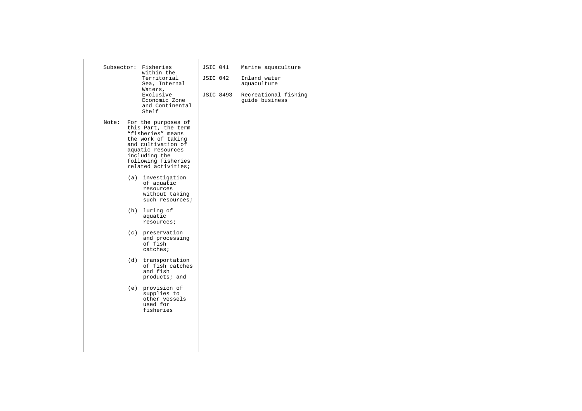| Subsector: Fisheries<br>within the<br>Territorial<br>Sea, Internal<br>Waters,<br>Exclusive<br>Economic Zone<br>and Continental<br>Shelf                                                                                                                                                                                                                                                                                                                                                                                                              | JSIC 041<br>JSIC 042<br><b>JSIC 8493</b> | Marine aquaculture<br>Inland water<br>aquaculture<br>Recreational fishing<br>guide business |  |  |
|------------------------------------------------------------------------------------------------------------------------------------------------------------------------------------------------------------------------------------------------------------------------------------------------------------------------------------------------------------------------------------------------------------------------------------------------------------------------------------------------------------------------------------------------------|------------------------------------------|---------------------------------------------------------------------------------------------|--|--|
| Note: For the purposes of<br>this Part, the term<br>"fisheries" means<br>the work of taking<br>and cultivation of<br>aquatic resources<br>including the<br>following fisheries<br>related activities;<br>(a) investigation<br>of aquatic<br>resources<br>without taking<br>such resources;<br>(b) luring of<br>aquatic<br>resources;<br>(c) preservation<br>and processing<br>of fish<br>catches;<br>(d) transportation<br>of fish catches<br>and fish<br>products; and<br>(e) provision of<br>supplies to<br>other vessels<br>used for<br>fisheries |                                          |                                                                                             |  |  |
|                                                                                                                                                                                                                                                                                                                                                                                                                                                                                                                                                      |                                          |                                                                                             |  |  |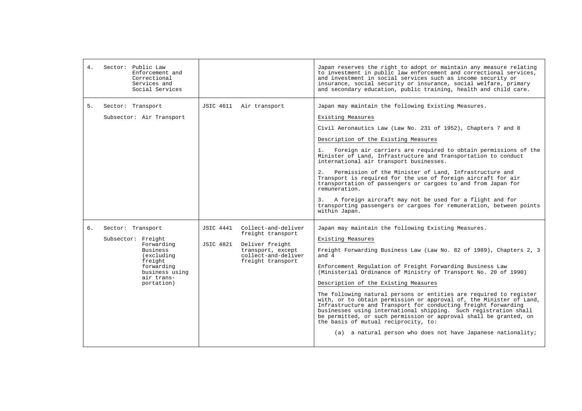| 4 <sup>1</sup> | Sector: Public Law<br>Enforcement and<br>Correctional<br>Services and<br>Social Services                                                               |                                                                                                                                                        | Japan reserves the right to adopt or maintain any measure relating<br>to investment in public law enforcement and correctional services,<br>and investment in social services such as income security or<br>insurance, social security or insurance, social welfare, primary<br>and secondary education, public training, health and child care.                                                                                                                                                                                                                                                                                                                                                                                                                                                   |
|----------------|--------------------------------------------------------------------------------------------------------------------------------------------------------|--------------------------------------------------------------------------------------------------------------------------------------------------------|----------------------------------------------------------------------------------------------------------------------------------------------------------------------------------------------------------------------------------------------------------------------------------------------------------------------------------------------------------------------------------------------------------------------------------------------------------------------------------------------------------------------------------------------------------------------------------------------------------------------------------------------------------------------------------------------------------------------------------------------------------------------------------------------------|
| 5.             | Sector: Transport<br>Subsector: Air Transport                                                                                                          | JSIC 4611 Air transport                                                                                                                                | Japan may maintain the following Existing Measures.<br>Existing Measures<br>Civil Aeronautics Law (Law No. 231 of 1952), Chapters 7 and 8<br>Description of the Existing Measures<br>1.<br>Foreign air carriers are required to obtain permissions of the<br>Minister of Land, Infrastructure and Transportation to conduct<br>international air transport businesses.<br>2.<br>Permission of the Minister of Land, Infrastructure and<br>Transport is required for the use of foreign aircraft for air<br>transportation of passengers or cargoes to and from Japan for<br>remuneration.<br>3.<br>A foreign aircraft may not be used for a flight and for<br>transporting passengers or cargoes for remuneration, between points<br>within Japan.                                                 |
| 6.             | Sector: Transport<br>Subsector: Freight<br>Forwarding<br>Business<br>(excluding<br>freight<br>forwarding<br>business using<br>air trans-<br>portation) | Collect-and-deliver<br>JSIC 4441<br>freight transport<br>JSIC 4821<br>Deliver freight<br>transport, except<br>collect-and-deliver<br>freight transport | Japan may maintain the following Existing Measures.<br>Existing Measures<br>Freight Forwarding Business Law (Law No. 82 of 1989), Chapters 2, 3<br>and $4$<br>Enforcement Requlation of Freight Forwarding Business Law<br>(Ministerial Ordinance of Ministry of Transport No. 20 of 1990)<br>Description of the Existing Measures<br>The following natural persons or entities are required to register<br>with, or to obtain permission or approval of, the Minister of Land,<br>Infrastructure and Transport for conducting freight forwarding<br>businesses using international shipping. Such registration shall<br>be permitted, or such permission or approval shall be granted, on<br>the basis of mutual reciprocity, to:<br>(a) a natural person who does not have Japanese nationality; |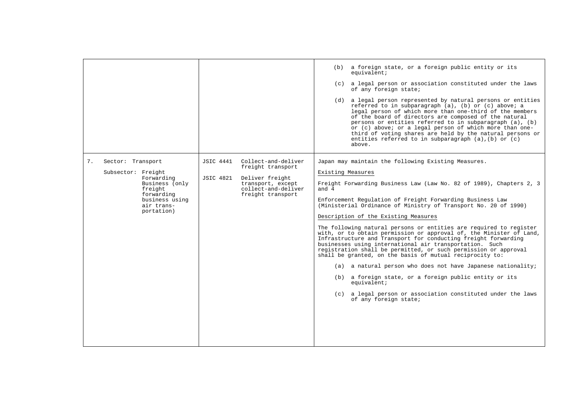|                                                                                                                                                      |                                                                                                                                                     | (b) a foreign state, or a foreign public entity or its<br>equivalent;<br>(c) a legal person or association constituted under the laws<br>of any foreign state;<br>(d) a legal person represented by natural persons or entities<br>referred to in subparagraph (a), (b) or (c) above; a<br>legal person of which more than one-third of the members<br>of the board of directors are composed of the natural<br>persons or entities referred to in subparagraph (a), (b)<br>or (c) above; or a legal person of which more than one-<br>third of voting shares are held by the natural persons or<br>entities referred to in subparagraph $(a)$ , $(b)$ or $(c)$<br>above.                                                                                                                                                                                                                                                                                                   |
|------------------------------------------------------------------------------------------------------------------------------------------------------|-----------------------------------------------------------------------------------------------------------------------------------------------------|-----------------------------------------------------------------------------------------------------------------------------------------------------------------------------------------------------------------------------------------------------------------------------------------------------------------------------------------------------------------------------------------------------------------------------------------------------------------------------------------------------------------------------------------------------------------------------------------------------------------------------------------------------------------------------------------------------------------------------------------------------------------------------------------------------------------------------------------------------------------------------------------------------------------------------------------------------------------------------|
| 7.<br>Sector: Transport<br>Subsector: Freight<br>Forwarding<br>Business (only<br>freight<br>forwarding<br>business using<br>air trans-<br>portation) | JSIC 4441 Collect-and-deliver<br>freight transport<br>Deliver freight<br>JSIC 4821<br>transport, except<br>collect-and-deliver<br>freight transport | Japan may maintain the following Existing Measures.<br>Existing Measures<br>Freight Forwarding Business Law (Law No. 82 of 1989), Chapters 2, 3<br>and 4<br>Enforcement Regulation of Freight Forwarding Business Law<br>(Ministerial Ordinance of Ministry of Transport No. 20 of 1990)<br>Description of the Existing Measures<br>The following natural persons or entities are required to register<br>with, or to obtain permission or approval of, the Minister of Land,<br>Infrastructure and Transport for conducting freight forwarding<br>businesses using international air transportation. Such<br>registration shall be permitted, or such permission or approval<br>shall be granted, on the basis of mutual reciprocity to:<br>(a) a natural person who does not have Japanese nationality;<br>(b) a foreign state, or a foreign public entity or its<br>equivalent;<br>(c) a legal person or association constituted under the laws<br>of any foreign state; |